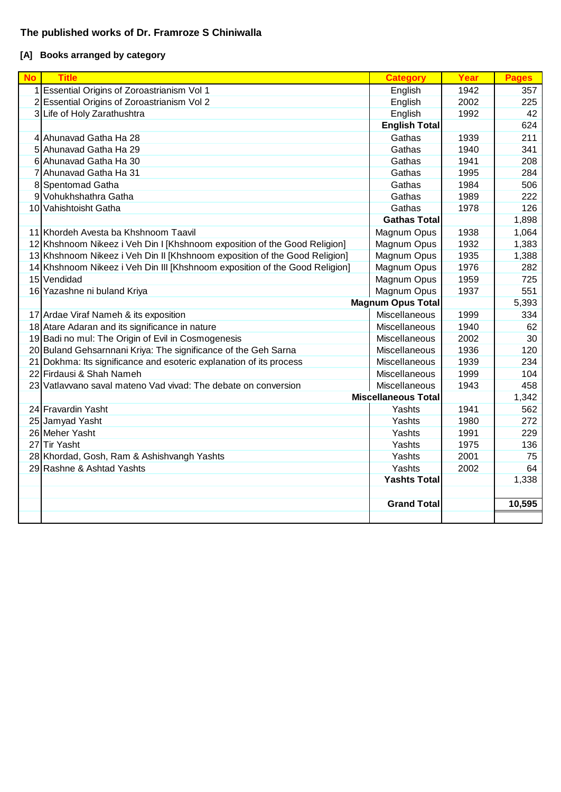## **The published works of Dr. Framroze S Chiniwalla**

# **[A] Books arranged by category**

| <b>No</b> | <b>Title</b>                                                                | <b>Category</b>            | Year | <b>Pages</b> |
|-----------|-----------------------------------------------------------------------------|----------------------------|------|--------------|
|           | 1 Essential Origins of Zoroastrianism Vol 1                                 | English                    | 1942 | 357          |
|           | 2 Essential Origins of Zoroastrianism Vol 2                                 | English                    | 2002 | 225          |
|           | 3 Life of Holy Zarathushtra                                                 | English                    | 1992 | 42           |
|           |                                                                             | <b>English Total</b>       |      | 624          |
|           | 4 Ahunavad Gatha Ha 28                                                      | Gathas                     | 1939 | 211          |
|           | 5 Ahunavad Gatha Ha 29                                                      | Gathas                     | 1940 | 341          |
|           | 6 Ahunavad Gatha Ha 30                                                      | Gathas                     | 1941 | 208          |
|           | 7 Ahunavad Gatha Ha 31                                                      | Gathas                     | 1995 | 284          |
|           | 8 Spentomad Gatha                                                           | Gathas                     | 1984 | 506          |
|           | 9 Vohukhshathra Gatha                                                       | Gathas                     | 1989 | 222          |
|           | 10 Vahishtoisht Gatha                                                       | Gathas                     | 1978 | 126          |
|           |                                                                             | <b>Gathas Total</b>        |      | 1,898        |
|           | 11 Khordeh Avesta ba Khshnoom Taavil                                        | Magnum Opus                | 1938 | 1,064        |
|           | 12 Khshnoom Nikeez i Veh Din I [Khshnoom exposition of the Good Religion]   | Magnum Opus                | 1932 | 1,383        |
|           | 13 Khshnoom Nikeez i Veh Din II [Khshnoom exposition of the Good Religion]  | Magnum Opus                | 1935 | 1,388        |
|           | 14 Khshnoom Nikeez i Veh Din III [Khshnoom exposition of the Good Religion] | Magnum Opus                | 1976 | 282          |
|           | 15 Vendidad                                                                 | Magnum Opus                | 1959 | 725          |
|           | 16 Yazashne ni buland Kriya                                                 | Magnum Opus                | 1937 | 551          |
|           |                                                                             | <b>Magnum Opus Total</b>   |      | 5,393        |
|           | 17 Ardae Viraf Nameh & its exposition                                       | Miscellaneous              | 1999 | 334          |
|           | 18 Atare Adaran and its significance in nature                              | Miscellaneous              | 1940 | 62           |
|           | 19 Badi no mul: The Origin of Evil in Cosmogenesis                          | Miscellaneous              | 2002 | 30           |
|           | 20 Buland Gehsarnnani Kriya: The significance of the Geh Sarna              | Miscellaneous              | 1936 | 120          |
|           | 21 Dokhma: Its significance and esoteric explanation of its process         | Miscellaneous              | 1939 | 234          |
|           | 22 Firdausi & Shah Nameh                                                    | Miscellaneous              | 1999 | 104          |
|           | 23 Vatlawano saval mateno Vad vivad: The debate on conversion               | Miscellaneous              | 1943 | 458          |
|           |                                                                             | <b>Miscellaneous Total</b> |      | 1,342        |
|           | 24 Fravardin Yasht                                                          | Yashts                     | 1941 | 562          |
|           | 25 Jamyad Yasht                                                             | Yashts                     | 1980 | 272          |
|           | 26 Meher Yasht                                                              | Yashts                     | 1991 | 229          |
|           | 27 Tir Yasht                                                                | Yashts                     | 1975 | 136          |
|           | 28 Khordad, Gosh, Ram & Ashishvangh Yashts                                  | Yashts                     | 2001 | 75           |
|           | 29 Rashne & Ashtad Yashts                                                   | Yashts                     | 2002 | 64           |
|           |                                                                             | <b>Yashts Total</b>        |      | 1,338        |
|           |                                                                             |                            |      |              |
|           |                                                                             | <b>Grand Total</b>         |      | 10,595       |
|           |                                                                             |                            |      |              |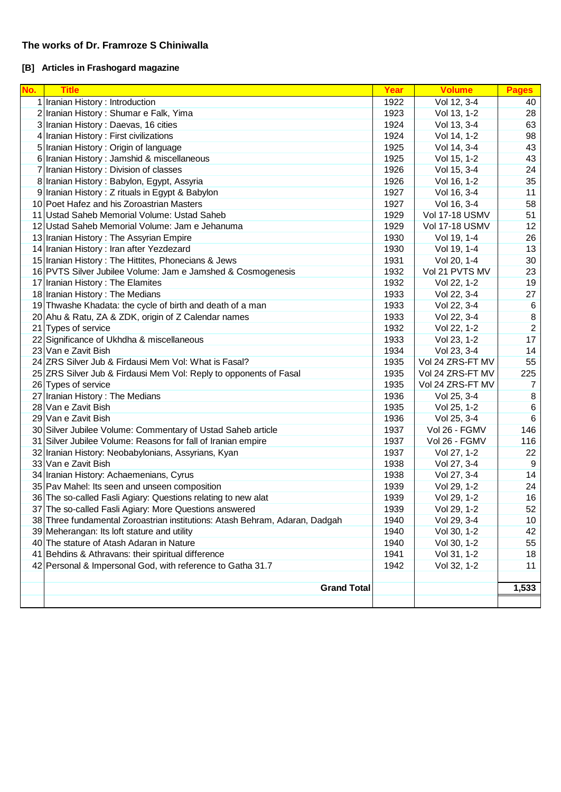### **The works of Dr. Framroze S Chiniwalla**

## **[B] Articles in Frashogard magazine**

| No. | <b>Title</b>                                                                | Year | <b>Volume</b>    | <b>Pages</b>    |  |
|-----|-----------------------------------------------------------------------------|------|------------------|-----------------|--|
|     | 1 Iranian History: Introduction                                             | 1922 | Vol 12, 3-4      | 40              |  |
|     | 2 Iranian History: Shumar e Falk, Yima                                      | 1923 | Vol 13, 1-2      | 28              |  |
|     | 3 Iranian History : Daevas, 16 cities                                       | 1924 | Vol 13, 3-4      | 63              |  |
| 4   | Iranian History: First civilizations                                        |      | Vol 14, 1-2      | 98              |  |
|     | 5 Iranian History: Origin of language                                       | 1925 | Vol 14, 3-4      | 43              |  |
|     | 6 Iranian History : Jamshid & miscellaneous                                 | 1925 | Vol 15, 1-2      | 43              |  |
|     | 7 Iranian History: Division of classes                                      | 1926 | Vol 15, 3-4      | 24              |  |
|     | 8 Iranian History: Babylon, Egypt, Assyria                                  | 1926 | Vol 16, 1-2      | 35              |  |
|     | 9 Iranian History: Z rituals in Egypt & Babylon                             | 1927 | Vol 16, 3-4      | 11              |  |
|     | 10 Poet Hafez and his Zoroastrian Masters                                   | 1927 | Vol 16, 3-4      | 58              |  |
|     | 11 Ustad Saheb Memorial Volume: Ustad Saheb                                 | 1929 | Vol 17-18 USMV   | 51              |  |
|     | 12 Ustad Saheb Memorial Volume: Jam e Jehanuma                              | 1929 | Vol 17-18 USMV   | 12              |  |
|     | 13 Iranian History: The Assyrian Empire                                     | 1930 | Vol 19, 1-4      | 26              |  |
|     | 14 Iranian History: Iran after Yezdezard                                    | 1930 | Vol 19, 1-4      | 13              |  |
|     | 15 Iranian History: The Hittites, Phonecians & Jews                         | 1931 | Vol 20, 1-4      | 30              |  |
|     | 16 PVTS Silver Jubilee Volume: Jam e Jamshed & Cosmogenesis                 | 1932 | Vol 21 PVTS MV   | 23              |  |
|     | 17 Iranian History: The Elamites                                            | 1932 | Vol 22, 1-2      | 19              |  |
|     | 18 Iranian History: The Medians                                             | 1933 | Vol 22, 3-4      | 27              |  |
|     | 19 Thwashe Khadata: the cycle of birth and death of a man                   | 1933 | Vol 22, 3-4      | 6               |  |
|     | 20 Ahu & Ratu, ZA & ZDK, origin of Z Calendar names                         | 1933 | Vol 22, 3-4      | 8               |  |
|     | 21 Types of service                                                         | 1932 | Vol 22, 1-2      | $\overline{2}$  |  |
|     | 22 Significance of Ukhdha & miscellaneous                                   | 1933 | Vol 23, 1-2      | 17              |  |
|     | 23 Van e Zavit Bish                                                         | 1934 | Vol 23, 3-4      | 14              |  |
|     | 24 ZRS Silver Jub & Firdausi Mem Vol: What is Fasal?                        | 1935 | Vol 24 ZRS-FT MV | 55              |  |
|     | 25 ZRS Silver Jub & Firdausi Mem Vol: Reply to opponents of Fasal           | 1935 | Vol 24 ZRS-FT MV | 225             |  |
|     | 26 Types of service                                                         | 1935 | Vol 24 ZRS-FT MV | 7               |  |
|     | 27 Iranian History: The Medians                                             | 1936 | Vol 25, 3-4      | 8               |  |
|     | 28 Van e Zavit Bish                                                         | 1935 | Vol 25, 1-2      | 6               |  |
|     | 29 Van e Zavit Bish                                                         | 1936 | Vol 25, 3-4      | $\,6$           |  |
|     | 30 Silver Jubilee Volume: Commentary of Ustad Saheb article                 | 1937 | Vol 26 - FGMV    | 146             |  |
|     | 31 Silver Jubilee Volume: Reasons for fall of Iranian empire                | 1937 | Vol 26 - FGMV    | 116             |  |
|     | 32 Iranian History: Neobabylonians, Assyrians, Kyan                         | 1937 | Vol 27, 1-2      | 22              |  |
|     | 33 Van e Zavit Bish                                                         | 1938 | Vol 27, 3-4      | 9               |  |
|     | 34 Iranian History: Achaemenians, Cyrus                                     | 1938 | Vol 27, 3-4      | 14              |  |
|     | 35 Pav Mahel: Its seen and unseen composition                               | 1939 | Vol 29, 1-2      | 24              |  |
|     | 36 The so-called Fasli Agiary: Questions relating to new alat               | 1939 | Vol 29, 1-2      | 16              |  |
|     | 37 The so-called Fasli Agiary: More Questions answered                      | 1939 | Vol 29, 1-2      | 52              |  |
|     | 38 Three fundamental Zoroastrian institutions: Atash Behram, Adaran, Dadgah | 1940 | Vol 29, 3-4      | 10 <sub>1</sub> |  |
|     | 39 Meherangan: Its loft stature and utility                                 | 1940 | Vol 30, 1-2      | 42              |  |
|     | 40 The stature of Atash Adaran in Nature                                    | 1940 | Vol 30, 1-2      | 55              |  |
|     | 41 Behdins & Athravans: their spiritual difference                          | 1941 | Vol 31, 1-2      | 18              |  |
|     | 42 Personal & Impersonal God, with reference to Gatha 31.7                  | 1942 | Vol 32, 1-2      | 11              |  |
|     |                                                                             |      |                  |                 |  |
|     | <b>Grand Total</b>                                                          |      |                  |                 |  |
|     |                                                                             |      |                  |                 |  |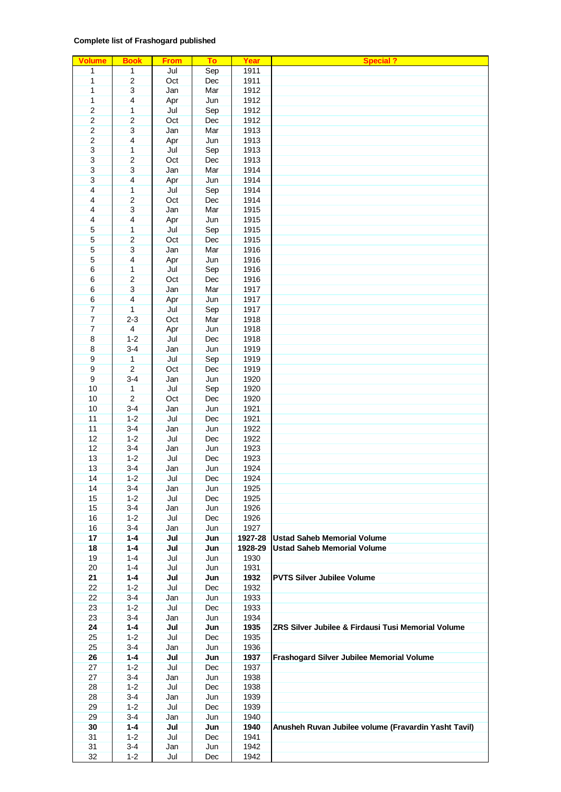### **Complete list of Frashogard published**

| <b>Volume</b>   | <b>Book</b>      | <b>From</b> | To         | Year    | <b>Special?</b>                                      |
|-----------------|------------------|-------------|------------|---------|------------------------------------------------------|
| $\mathbf{1}$    | $\mathbf{1}$     | Jul         | Sep        | 1911    |                                                      |
| $\mathbf{1}$    | $\overline{2}$   | Oct         | Dec        | 1911    |                                                      |
| 1               | $\overline{3}$   | Jan         | Mar        | 1912    |                                                      |
|                 | $\overline{4}$   |             |            | 1912    |                                                      |
| 1               |                  | Apr         | Jun        |         |                                                      |
| $\overline{2}$  | $\mathbf{1}$     | Jul         | Sep        | 1912    |                                                      |
| $\overline{2}$  | $\overline{2}$   | Oct         | Dec        | 1912    |                                                      |
| $\overline{2}$  | $\overline{3}$   | Jan         | Mar        | 1913    |                                                      |
| $\overline{2}$  | $\overline{4}$   | Apr         | Jun        | 1913    |                                                      |
| $\overline{3}$  | $\mathbf{1}$     | Jul         | Sep        | 1913    |                                                      |
| $\overline{3}$  | $\boldsymbol{2}$ | Oct         | Dec        | 1913    |                                                      |
| $\overline{3}$  | $\overline{3}$   | Jan         | Mar        | 1914    |                                                      |
|                 |                  |             |            |         |                                                      |
| $\overline{3}$  | $\overline{4}$   | Apr         | Jun        | 1914    |                                                      |
| $\overline{4}$  | 1                | Jul         | Sep        | 1914    |                                                      |
| 4               | $\overline{2}$   | Oct         | <b>Dec</b> | 1914    |                                                      |
| 4               | $\overline{3}$   | Jan         | Mar        | 1915    |                                                      |
| $\overline{4}$  | $\overline{4}$   | Apr         | Jun        | 1915    |                                                      |
| $\overline{5}$  | 1                | Jul         | Sep        | 1915    |                                                      |
| 5               | $\overline{2}$   | Oct         | Dec        | 1915    |                                                      |
|                 |                  |             |            |         |                                                      |
| $\overline{5}$  | $\overline{3}$   | Jan         | Mar        | 1916    |                                                      |
| $\overline{5}$  | $\overline{4}$   | Apr         | Jun        | 1916    |                                                      |
| $6\overline{6}$ | 1                | Jul         | Sep        | 1916    |                                                      |
| $6\overline{6}$ | $\overline{2}$   | Oct         | Dec        | 1916    |                                                      |
| $6\overline{}$  | $\overline{3}$   | Jan         | Mar        | 1917    |                                                      |
| $6\overline{}$  | $\overline{4}$   | Apr         | Jun        | 1917    |                                                      |
| $\overline{7}$  | $\mathbf{1}$     | Jul         | Sep        | 1917    |                                                      |
| $\overline{7}$  | $2 - 3$          | Oct         | Mar        | 1918    |                                                      |
| $\overline{7}$  | $\overline{4}$   |             |            | 1918    |                                                      |
|                 |                  | Apr         | Jun        |         |                                                      |
| $\overline{8}$  | $1-2$            | Jul         | Dec        | 1918    |                                                      |
| $\overline{8}$  | $3 - 4$          | Jan         | Jun        | 1919    |                                                      |
| $\overline{9}$  | $\overline{1}$   | Jul         | Sep        | 1919    |                                                      |
| $\overline{9}$  | $\overline{2}$   | Oct         | <b>Dec</b> | 1919    |                                                      |
| $\overline{9}$  | $3 - 4$          | Jan         | Jun        | 1920    |                                                      |
| 10              | $\overline{1}$   | Jul         | Sep        | 1920    |                                                      |
| 10              | $\overline{2}$   | Oct         | Dec        | 1920    |                                                      |
|                 |                  |             |            |         |                                                      |
| 10              | $3 - 4$          | Jan         | Jun        | 1921    |                                                      |
| 11              | $1-2$            | Jul         | Dec        | 1921    |                                                      |
| 11              | $3 - 4$          | Jan         | Jun        | 1922    |                                                      |
| 12              | $1-2$            | Jul         | Dec        | 1922    |                                                      |
| 12              | $3 - 4$          | Jan         | Jun        | 1923    |                                                      |
| 13              | $1-2$            | Jul         | Dec        | 1923    |                                                      |
| 13              | $3 - 4$          | Jan         | Jun        | 1924    |                                                      |
| 14              | $1-2$            | Jul         | Dec        | 1924    |                                                      |
|                 |                  |             |            |         |                                                      |
| 14              | 3-4              | Jan         | Jun        | 1925    |                                                      |
| 15              | $1 - 2$          | Jul         | Dec        | 1925    |                                                      |
| 15              | $3 - 4$          | Jan         | Jun        | 1926    |                                                      |
| 16              | $1 - 2$          | Jul         | Dec        | 1926    |                                                      |
| 16              | $3 - 4$          | Jan         | Jun        | 1927    |                                                      |
| 17              | $1 - 4$          | Jul         | Jun        | 1927-28 | <b>Ustad Saheb Memorial Volume</b>                   |
| 18              | $1 - 4$          | Jul         | Jun        | 1928-29 | <b>Ustad Saheb Memorial Volume</b>                   |
| 19              | $1 - 4$          | Jul         | Jun        | 1930    |                                                      |
| 20              | $1 - 4$          | Jul         |            | 1931    |                                                      |
|                 |                  |             | Jun        |         |                                                      |
| 21              | $1 - 4$          | Jul         | Jun        | 1932    | <b>PVTS Silver Jubilee Volume</b>                    |
| 22              | $1 - 2$          | Jul         | Dec        | 1932    |                                                      |
| 22              | $3 - 4$          | Jan         | Jun        | 1933    |                                                      |
| 23              | $1 - 2$          | Jul         | Dec        | 1933    |                                                      |
| 23              | $3 - 4$          | Jan         | Jun        | 1934    |                                                      |
| 24              | $1 - 4$          | Jul         | Jun        | 1935    | ZRS Silver Jubilee & Firdausi Tusi Memorial Volume   |
| 25              | $1-2$            | Jul         | Dec        | 1935    |                                                      |
| 25              | $3 - 4$          | Jan         | Jun        | 1936    |                                                      |
|                 |                  |             |            |         |                                                      |
| 26              | $1 - 4$          | Jul         | Jun        | 1937    | Frashogard Silver Jubilee Memorial Volume            |
| 27              | $1 - 2$          | Jul         | Dec        | 1937    |                                                      |
| 27              | $3 - 4$          | Jan         | Jun        | 1938    |                                                      |
| 28              | $1 - 2$          | Jul         | Dec        | 1938    |                                                      |
| 28              | $3 - 4$          | Jan         | Jun        | 1939    |                                                      |
| 29              | $1 - 2$          | Jul         | Dec        | 1939    |                                                      |
| 29              | $3 - 4$          | Jan         | Jun        | 1940    |                                                      |
| 30              | $1 - 4$          | Jul         | Jun        | 1940    | Anusheh Ruvan Jubilee volume (Fravardin Yasht Tavil) |
| 31              | $1 - 2$          | Jul         | Dec        | 1941    |                                                      |
|                 |                  |             |            |         |                                                      |
| 31              | $3-4$            | Jan         | Jun        | 1942    |                                                      |
| 32              | $1 - 2$          | Jul         | Dec        | 1942    |                                                      |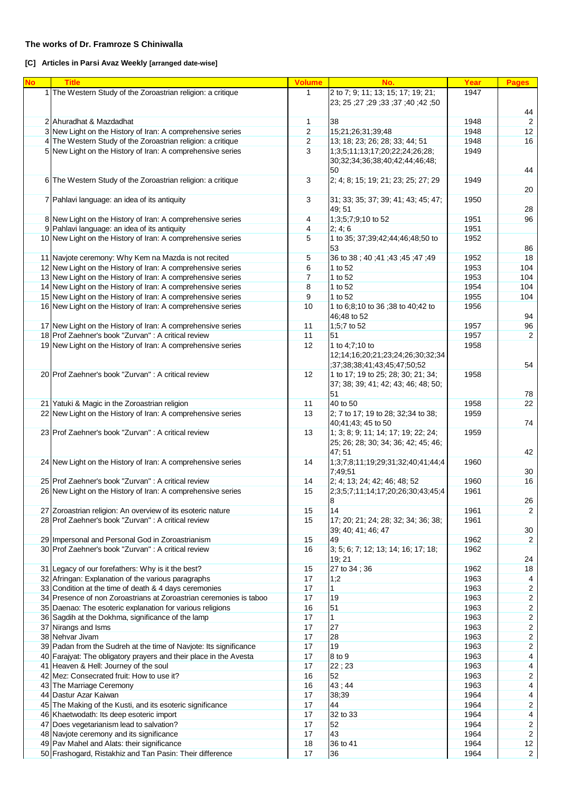### **The works of Dr. Framroze S Chiniwalla**

## **[C] Articles in Parsi Avaz Weekly [arranged date-wise]**

| <b>No</b> | <b>Title</b>                                                                                                       | <b>Volume</b> | No.                                                                                                       | Year | <b>Pages</b>            |
|-----------|--------------------------------------------------------------------------------------------------------------------|---------------|-----------------------------------------------------------------------------------------------------------|------|-------------------------|
|           | 1 The Western Study of the Zoroastrian religion: a critique                                                        | $\mathbf{1}$  | 2 to 7; 9; 11; 13; 15; 17; 19; 21;<br>23; 25; 27; 33; 37; 40; 23; 25; 27;                                 | 1947 | 44                      |
|           | 2 Ahuradhat & Mazdadhat                                                                                            | 1             | 38                                                                                                        | 1948 | $\overline{2}$          |
|           | 3 New Light on the History of Iran: A comprehensive series                                                         | 2             | 15;21;26;31;39;48                                                                                         | 1948 | 12                      |
|           | 4 The Western Study of the Zoroastrian religion: a critique                                                        | 2             | 13; 18; 23; 26; 28; 33; 44; 51                                                                            | 1948 | 16                      |
|           | 5 New Light on the History of Iran: A comprehensive series                                                         | 3             | 1;3;5;11;13;17;20;22;24;26;28;<br>30;32;34;36;38;40;42;44;46;48;<br>50                                    | 1949 | 44                      |
|           | 6 The Western Study of the Zoroastrian religion: a critique                                                        | 3             | 2; 4; 8; 15; 19; 21; 23; 25; 27; 29                                                                       | 1949 | 20                      |
|           | 7 Pahlavi language: an idea of its antiquity                                                                       | 3             | 31; 33; 35; 37; 39; 41; 43; 45; 47;<br>49:51                                                              | 1950 | 28                      |
|           | 8 New Light on the History of Iran: A comprehensive series                                                         | 4             | 1;3;5;7;9;10 to 52                                                                                        | 1951 | 96                      |
|           | 9 Pahlavi language: an idea of its antiquity                                                                       | 4             | 2; 4; 6                                                                                                   | 1951 |                         |
|           | 10 New Light on the History of Iran: A comprehensive series                                                        | 5             | 1 to 35; 37;39;42;44;46;48;50 to<br>53                                                                    | 1952 | 86                      |
|           | 11 Navjote ceremony: Why Kem na Mazda is not recited                                                               | 5             | 36 to 38; 40; 41; 43; 45; 47; 49                                                                          | 1952 | 18                      |
|           | 12 New Light on the History of Iran: A comprehensive series                                                        | 6             | 1 to 52                                                                                                   | 1953 | 104                     |
|           | 13 New Light on the History of Iran: A comprehensive series                                                        | 7             | 1 to 52                                                                                                   | 1953 | 104                     |
|           | 14 New Light on the History of Iran: A comprehensive series                                                        | 8             | 1 to 52                                                                                                   | 1954 | 104                     |
|           | 15 New Light on the History of Iran: A comprehensive series                                                        | 9             | 1 to 52                                                                                                   | 1955 | 104                     |
|           | 16 New Light on the History of Iran: A comprehensive series                                                        | 10            | 1 to 6;8;10 to 36 ;38 to 40;42 to                                                                         | 1956 |                         |
|           |                                                                                                                    |               | 46:48 to 52                                                                                               |      | 94                      |
|           | 17 New Light on the History of Iran: A comprehensive series<br>18 Prof Zaehner's book "Zurvan" : A critical review | 11<br>11      | 1;5;7 to 52                                                                                               | 1957 | 96                      |
|           |                                                                                                                    |               | 51                                                                                                        | 1957 | $\overline{2}$          |
|           | 19 New Light on the History of Iran: A comprehensive series                                                        | 12            | 1 to 4;7;10 to<br>12;14;16;20;21;23;24;26;30;32;34<br>;37;38;38;41;43;45;47;50;52                         | 1958 | 54                      |
|           | 20 Prof Zaehner's book "Zurvan": A critical review                                                                 | 12            | 1 to 17; 19 to 25; 28; 30; 21; 34;<br>37; 38; 39; 41; 42; 43; 46; 48; 50;<br>51                           | 1958 | 78                      |
|           | 21 Yatuki & Magic in the Zoroastrian religion                                                                      | 11            | 40 to 50                                                                                                  | 1958 | 22                      |
|           | 22 New Light on the History of Iran: A comprehensive series                                                        | 13            | 2; 7 to 17; 19 to 28; 32;34 to 38;                                                                        | 1959 |                         |
|           |                                                                                                                    |               |                                                                                                           |      |                         |
|           | 23 Prof Zaehner's book "Zurvan" : A critical review                                                                | 13            | 40;41;43; 45 to 50<br>1; 3; 8; 9; 11; 14; 17; 19; 22; 24;<br>25; 26; 28; 30; 34; 36; 42; 45; 46;<br>47:51 | 1959 | 74<br>42                |
|           | 24 New Light on the History of Iran: A comprehensive series                                                        | 14            | 1;3;7;8;11;19;29;31;32;40;41;44;4<br>7;49;51                                                              | 1960 | 30                      |
|           | 25 Prof Zaehner's book "Zurvan": A critical review                                                                 | 14            | 2; 4; 13; 24; 42; 46; 48; 52                                                                              | 1960 | 16                      |
|           | 26 New Light on the History of Iran: A comprehensive series                                                        | 15            | 2;3;5;7;11;14;17;20;26;30;43;45;4<br>ŏ                                                                    | 1961 | 26                      |
|           | 27 Zoroastrian religion: An overview of its esoteric nature                                                        | 15            | 14                                                                                                        | 1961 | $\boldsymbol{2}$        |
|           | 28 Prof Zaehner's book "Zurvan" : A critical review                                                                | 15            | 17; 20; 21; 24; 28; 32; 34; 36; 38;<br>39; 40; 41; 46; 47                                                 | 1961 | $30\,$                  |
|           | 29 Impersonal and Personal God in Zoroastrianism                                                                   | 15            | 49                                                                                                        | 1962 | 2                       |
|           | 30 Prof Zaehner's book "Zurvan": A critical review                                                                 | 16            | 3; 5; 6; 7; 12; 13; 14; 16; 17; 18;<br>19; 21                                                             | 1962 | 24                      |
|           | 31 Legacy of our forefathers: Why is it the best?                                                                  | 15            | 27 to 34; 36                                                                                              | 1962 | $18\,$                  |
|           | 32 Afringan: Explanation of the various paragraphs                                                                 | 17            | 1;2                                                                                                       | 1963 | 4                       |
|           | 33 Condition at the time of death & 4 days ceremonies                                                              | 17            | 1                                                                                                         | 1963 | $\overline{\mathbf{c}}$ |
|           | 34 Presence of non Zoroastrians at Zoroastrian ceremonies is taboo                                                 | 17            | 19                                                                                                        | 1963 | $\overline{2}$          |
|           | 35 Daenao: The esoteric explanation for various religions                                                          | 16            | 51                                                                                                        | 1963 | $\overline{2}$          |
|           | 36 Sagdih at the Dokhma, significance of the lamp                                                                  | 17            | $\mathbf{1}$                                                                                              | 1963 | $\overline{2}$          |
|           | 37 Nirangs and Isms                                                                                                | 17            | 27                                                                                                        | 1963 | $\overline{2}$          |
|           | 38 Nehvar Jivam                                                                                                    | 17            | 28                                                                                                        | 1963 | $\overline{c}$          |
|           |                                                                                                                    |               |                                                                                                           |      |                         |
|           | 39 Padan from the Sudreh at the time of Navjote: Its significance                                                  | 17            | 19                                                                                                        | 1963 | $\overline{c}$          |
|           | 40 Farajyat: The obligatory prayers and their place in the Avesta                                                  | 17            | 8 to 9                                                                                                    | 1963 | 4                       |
|           | 41 Heaven & Hell: Journey of the soul                                                                              | 17            | 22;23                                                                                                     | 1963 | 4                       |
|           | 42 Mez: Consecrated fruit: How to use it?                                                                          | 16            | 52                                                                                                        | 1963 | $\overline{c}$          |
|           | 43 The Marriage Ceremony                                                                                           | 16            | 43;44                                                                                                     | 1963 | 4                       |
|           | 44 Dastur Azar Kaiwan                                                                                              | 17            | 38;39                                                                                                     | 1964 | 4                       |
|           | 45 The Making of the Kusti, and its esoteric significance                                                          | 17            | 44                                                                                                        | 1964 | $\overline{c}$          |
|           | 46 Khaetwodath: Its deep esoteric import                                                                           | 17            | 32 to 33                                                                                                  | 1964 | $\overline{\mathbf{4}}$ |
|           | 47 Does vegetarianism lead to salvation?                                                                           | 17            | 52                                                                                                        | 1964 | $\overline{c}$          |
|           | 48 Navjote ceremony and its significance                                                                           | 17            | 43                                                                                                        | 1964 | $\overline{c}$          |
|           | 49 Pav Mahel and Alats: their significance                                                                         | 18            | 36 to 41                                                                                                  | 1964 | 12                      |
|           | 50 Frashogard, Ristakhiz and Tan Pasin: Their difference                                                           | 17            | 36                                                                                                        | 1964 | $\overline{2}$          |
|           |                                                                                                                    |               |                                                                                                           |      |                         |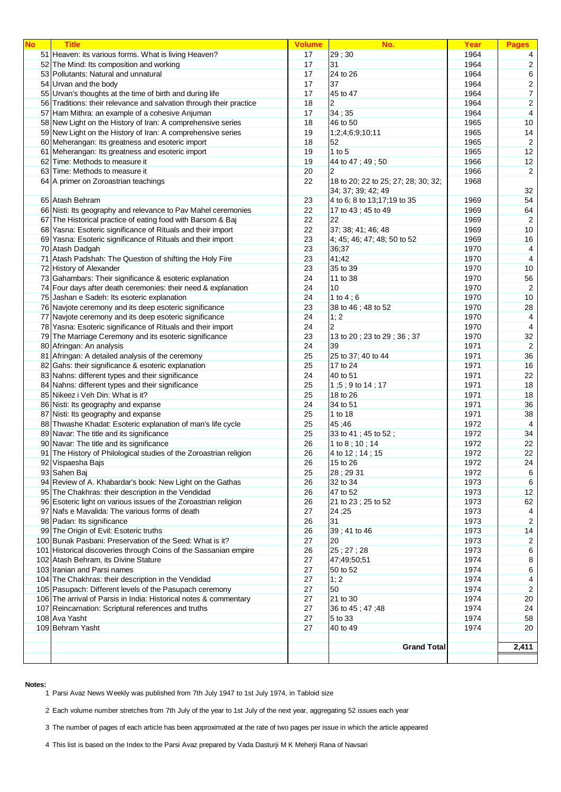| <b>No</b> | <b>Title</b>                                                        | <b>Volume</b> | No.                                 | Year | <b>Pages</b>            |
|-----------|---------------------------------------------------------------------|---------------|-------------------------------------|------|-------------------------|
|           | 51 Heaven: its various forms. What is living Heaven?                | 17            | 29;30                               | 1964 | 4                       |
|           | 52 The Mind: Its composition and working                            | 17            | 31                                  | 1964 | $\overline{2}$          |
|           | 53 Pollutants: Natural and unnatural                                | 17            | 24 to 26                            | 1964 | $\,6\,$                 |
|           | 54 Urvan and the body                                               | 17            | 37                                  | 1964 | $\overline{\mathbf{c}}$ |
|           | 55 Urvan's thoughts at the time of birth and during life            | 17            | 45 to 47                            | 1964 | $\boldsymbol{7}$        |
|           | 56 Traditions: their relevance and salvation through their practice | 18            | 2                                   | 1964 | $\overline{\mathbf{c}}$ |
|           | 57 Ham Mithra: an example of a cohesive Anjuman                     | 17            | 34;35                               | 1964 | 4                       |
|           | 58 New Light on the History of Iran: A comprehensive series         | 18            | 46 to 50                            | 1965 | 10                      |
|           | 59 New Light on the History of Iran: A comprehensive series         | 19            | 1;2;4;6;9;10;11                     | 1965 | 14                      |
|           | 60 Meherangan: Its greatness and esoteric import                    | 18            | 52                                  | 1965 | $\overline{2}$          |
|           | 61 Meherangan: Its greatness and esoteric import                    | 19            | 1 to $5$                            | 1965 | 12                      |
|           | 62 Time: Methods to measure it                                      | 19            | 44 to 47; 49; 50                    | 1966 | 12                      |
|           | 63 Time: Methods to measure it                                      | 20            | 2                                   | 1966 | $\overline{2}$          |
|           | 64 A primer on Zoroastrian teachings                                | 22            | 18 to 20; 22 to 25; 27; 28; 30; 32; | 1968 |                         |
|           |                                                                     |               | 34; 37; 39; 42; 49                  |      | 32                      |
|           | 65 Atash Behram                                                     | 23            | 4 to 6; 8 to 13;17;19 to 35         | 1969 | 54                      |
|           | 66 Nisti: Its geography and relevance to Pav Mahel ceremonies       | 22            | 17 to 43; 45 to 49                  | 1969 | 64                      |
|           | 67 The Historical practice of eating food with Barsom & Baj         | 22            | 22                                  | 1969 | $\overline{2}$          |
|           | 68 Yasna: Esoteric significance of Rituals and their import         | 22            | 37; 38; 41; 46; 48                  | 1969 | 10                      |
|           | 69 Yasna: Esoteric significance of Rituals and their import         | 23            | 4; 45; 46; 47; 48; 50 to 52         | 1969 | 16                      |
|           | 70 Atash Dadgah                                                     | 23            | 36;37                               | 1970 | 4                       |
|           | 71 Atash Padshah: The Question of shifting the Holy Fire            | 23            | 41;42                               | 1970 | $\overline{4}$          |
|           | 72 History of Alexander                                             | 23            | 35 to 39                            | 1970 | 10                      |
|           | 73 Gahambars: Their significance & esoteric explanation             | 24            | 11 to 38                            | 1970 | 56                      |
|           | 74 Four days after death ceremonies: their need & explanation       | 24            | 10                                  | 1970 | $\overline{2}$          |
|           | 75 Jashan e Sadeh: Its esoteric explanation                         | 24            | 1 to $4:6$                          | 1970 | 10                      |
|           | 76 Navjote ceremony and its deep esoteric significance              | 23            | 38 to 46; 48 to 52                  | 1970 | 28                      |
|           | 77 Navjote ceremony and its deep esoteric significance              | 24            | 1; 2                                | 1970 | 4                       |
|           | 78 Yasna: Esoteric significance of Rituals and their import         | 24            | 2                                   | 1970 | 4                       |
|           | 79 The Marriage Ceremony and its esoteric significance              | 23            | 13 to 20; 23 to 29; 36; 37          | 1970 | 32                      |
|           | 80 Afringan: An analysis                                            | 24            | 39                                  | 1971 | $\overline{2}$          |
|           | 81 Afringan: A detailed analysis of the ceremony                    | 25            | 25 to 37; 40 to 44                  | 1971 | 36                      |
|           | 82 Gahs: their significance & esoteric explanation                  | 25            | 17 to 24                            | 1971 | 16                      |
|           | 83 Nahns: different types and their significance                    | 24            | 40 to 51                            | 1971 | 22                      |
|           | 84 Nahns: different types and their significance                    | 25            | 1;5; 9 to 14; 17                    | 1971 | 18                      |
|           | 85 Nikeez i Veh Din: What is it?                                    | 25            | 18 to 26                            | 1971 | 18                      |
|           | 86 Nisti: Its geography and expanse                                 | 24            | 34 to 51                            | 1971 | 36                      |
|           | 87 Nisti: Its geography and expanse                                 | 25            | 1 to 18                             | 1971 | 38                      |
|           | 88 Thwashe Khadat: Esoteric explanation of man's life cycle         | 25            | 45:46                               | 1972 | 4                       |
|           | 89 Navar: The title and its significance                            | 25            | 33 to 41; 45 to 52;                 | 1972 | 34                      |
|           | 90 Navar: The title and its significance                            | 26            | 1 to 8 ; 10 ; 14                    | 1972 | 22                      |
|           | 91 The History of Philological studies of the Zoroastrian religion  | 26            | 4 to 12; 14; 15                     | 1972 | 22                      |
|           | 92 Vispaesha Bajs                                                   | 26            | 15 to 26                            | 1972 | 24                      |
|           | 93 Sahen Baj                                                        | 25            | 28; 29 31                           | 1972 | 6                       |
|           | 94 Review of A. Khabardar's book: New Light on the Gathas           | 26            | 32 to 34                            | 1973 | 6                       |
|           | 95 The Chakhras: their description in the Vendidad                  | 26            | 47 to 52                            | 1973 | 12                      |
|           | 96 Esoteric light on various issues of the Zoroastrian religion     | 26            | 21 to 23; 25 to 52                  | 1973 | 62                      |
|           | 97 Nafs e Mavalida: The various forms of death                      | 27            | 24;25                               | 1973 | $\overline{4}$          |
|           | 98 Padan: Its significance                                          | 26            | 31                                  | 1973 | $\overline{2}$          |
|           | 99 The Origin of Evil: Esoteric truths                              | 26            | 39;41 to 46                         | 1973 | 14                      |
|           | 100 Bunak Pasbani: Preservation of the Seed: What is it?            | 27            | 20                                  | 1973 | $\overline{c}$          |
|           | 101 Historical discoveries through Coins of the Sassanian empire    | 26            | 25; 27; 28                          | 1973 | 6                       |
|           | 102 Atash Behram, its Divine Stature                                | 27            | 47;49;50;51                         | 1974 | 8                       |
|           | 103 Iranian and Parsi names                                         | 27            | 50 to 52                            | 1974 | 6                       |
|           | 104 The Chakhras: their description in the Vendidad                 | 27            | 1; 2                                | 1974 | 4                       |
|           | 105 Pasupach: Different levels of the Pasupach ceremony             | 27            | 50                                  | 1974 | $\overline{2}$          |
|           | 106 The arrival of Parsis in India: Historical notes & commentary   | 27            | 21 to 30                            | 1974 | 20                      |
|           | 107 Reincarnation: Scriptural references and truths                 | 27            | 36 to 45; 47; 48                    | 1974 | 24                      |
|           | 108 Ava Yasht                                                       | 27            | 5 to 33                             | 1974 | 58                      |
|           | 109 Behram Yasht                                                    | 27            | 40 to 49                            | 1974 | 20                      |
|           |                                                                     |               |                                     |      |                         |
|           |                                                                     |               | <b>Grand Total</b>                  |      | 2,411                   |
|           |                                                                     |               |                                     |      |                         |

**Notes:**

Parsi Avaz News Weekly was published from 7th July 1947 to 1st July 1974, in Tabloid size

Each volume number stretches from 7th July of the year to 1st July of the next year, aggregating 52 issues each year

The number of pages of each article has been approximated at the rate of two pages per issue in which the article appeared

This list is based on the Index to the Parsi Avaz prepared by Vada Dasturji M K Meherji Rana of Navsari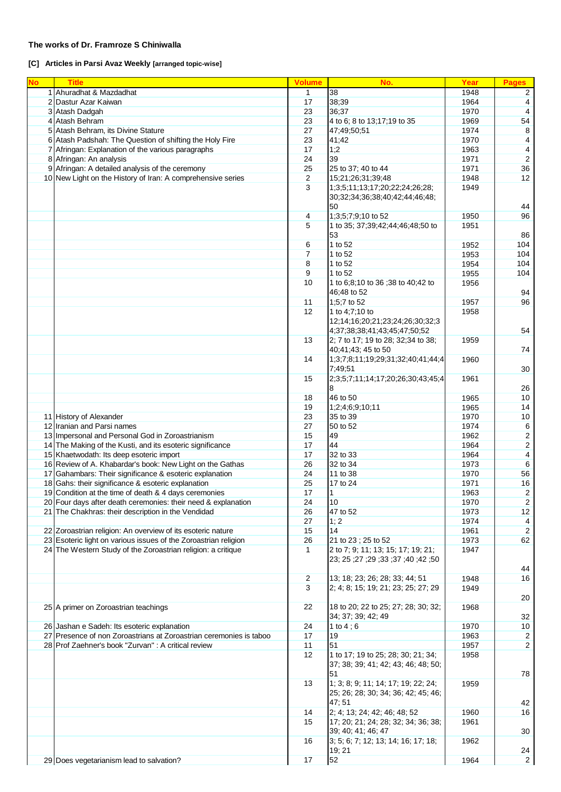#### **The works of Dr. Framroze S Chiniwalla**

**[C] Articles in Parsi Avaz Weekly [arranged topic-wise]**

| <b>No</b> | <b>Title</b>                                                       | <b>Volume</b>  | No.                                                                             | Year | <b>Pages</b>         |
|-----------|--------------------------------------------------------------------|----------------|---------------------------------------------------------------------------------|------|----------------------|
|           | 1 Ahuradhat & Mazdadhat                                            | $\mathbf{1}$   | 38                                                                              | 1948 | $\overline{2}$       |
|           | 2 Dastur Azar Kaiwan                                               | 17             | 38;39                                                                           | 1964 | 4                    |
|           | 3 Atash Dadgah                                                     | 23             | 36;37                                                                           | 1970 | 4                    |
|           |                                                                    | 23             | 4 to 6; 8 to 13;17;19 to 35                                                     |      | 54                   |
|           | 4 Atash Behram                                                     |                |                                                                                 | 1969 |                      |
|           | 5 Atash Behram, its Divine Stature                                 | 27             | 47;49;50;51                                                                     | 1974 | 8                    |
|           | 6 Atash Padshah: The Question of shifting the Holy Fire            | 23             | 41;42                                                                           | 1970 | 4                    |
|           | 7 Afringan: Explanation of the various paragraphs                  | 17             | 1;2                                                                             | 1963 | 4                    |
|           | 8 Afringan: An analysis                                            | 24             | 39                                                                              | 1971 | $\overline{2}$       |
|           | 9 Afringan: A detailed analysis of the ceremony                    | 25             | 25 to 37; 40 to 44                                                              | 1971 | 36                   |
|           | 10 New Light on the History of Iran: A comprehensive series        | $\sqrt{2}$     | 15;21;26;31;39;48                                                               | 1948 | 12                   |
|           |                                                                    | 3              | 1;3;5;11;13;17;20;22;24;26;28;                                                  | 1949 |                      |
|           |                                                                    |                | 30;32;34;36;38;40;42;44;46;48;<br>50                                            |      | 44                   |
|           |                                                                    | $\overline{4}$ | 1;3;5;7;9;10 to 52                                                              | 1950 | 96                   |
|           |                                                                    | 5              |                                                                                 | 1951 |                      |
|           |                                                                    |                | 1 to 35; 37;39;42;44;46;48;50 to<br>53                                          |      | 86                   |
|           |                                                                    |                |                                                                                 |      |                      |
|           |                                                                    | 6              | 1 to 52                                                                         | 1952 | 104                  |
|           |                                                                    | $\overline{7}$ | 1 to 52                                                                         | 1953 | 104                  |
|           |                                                                    | 8              | 1 to 52                                                                         | 1954 | 104                  |
|           |                                                                    | 9              | 1 to 52                                                                         | 1955 | 104                  |
|           |                                                                    | 10             | 1 to 6;8;10 to 36 ;38 to 40;42 to<br>46;48 to 52                                | 1956 | 94                   |
|           |                                                                    | 11             | 1;5;7 to 52                                                                     | 1957 | 96                   |
|           |                                                                    | 12             | 1 to 4;7;10 to                                                                  | 1958 |                      |
|           |                                                                    |                | 12;14;16;20;21;23;24;26;30;32;3<br>4;37;38;38;41;43;45;47;50;52                 |      | 54                   |
|           |                                                                    | 13             | 2; 7 to 17; 19 to 28; 32;34 to 38;<br>40:41:43: 45 to 50                        | 1959 | 74                   |
|           |                                                                    | 14             | 1;3;7;8;11;19;29;31;32;40;41;44;4<br>7;49;51                                    | 1960 | 30                   |
|           |                                                                    | 15             | 2;3;5;7;11;14;17;20;26;30;43;45;4                                               | 1961 |                      |
|           |                                                                    |                | 8                                                                               |      | 26                   |
|           |                                                                    | 18             | 46 to 50                                                                        | 1965 | 10                   |
|           |                                                                    | 19             | 1;2;4;6;9;10;11                                                                 | 1965 | 14                   |
|           | 11 History of Alexander                                            | 23             | 35 to 39                                                                        | 1970 | 10                   |
|           | 12 Iranian and Parsi names                                         | 27             | 50 to 52                                                                        | 1974 | 6                    |
|           | 13 Impersonal and Personal God in Zoroastrianism                   | 15             | 49                                                                              | 1962 | $\boldsymbol{2}$     |
|           | 14 The Making of the Kusti, and its esoteric significance          | 17             | 44                                                                              | 1964 | $\boldsymbol{2}$     |
|           |                                                                    |                |                                                                                 |      |                      |
|           | 15 Khaetwodath: Its deep esoteric import                           | 17             | 32 to 33                                                                        | 1964 | $\overline{4}$       |
|           | 16 Review of A. Khabardar's book: New Light on the Gathas          | 26             | 32 to 34                                                                        | 1973 | 6                    |
|           | 17 Gahambars: Their significance & esoteric explanation            | 24             | 11 to 38                                                                        | 1970 | 56                   |
|           | 18 Gahs: their significance & esoteric explanation                 | 25             | 17 to 24                                                                        | 1971 | 16                   |
|           | 19 Condition at the time of death & 4 days ceremonies              | 17             | 1                                                                               | 1963 | $\boldsymbol{2}$     |
|           | 20 Four days after death ceremonies: their need & explanation      | 24             | 10                                                                              | 1970 | 2                    |
|           | 21 The Chakhras: their description in the Vendidad                 | 26             | 47 to 52                                                                        | 1973 | 12                   |
|           |                                                                    | 27             | 1; 2                                                                            | 1974 | 4                    |
|           | 22 Zoroastrian religion: An overview of its esoteric nature        | 15             | 14                                                                              | 1961 | $\overline{2}$       |
|           | 23 Esoteric light on various issues of the Zoroastrian religion    | 26             | 21 to 23; 25 to 52                                                              | 1973 | 62                   |
|           |                                                                    | $\mathbf{1}$   |                                                                                 |      |                      |
|           | 24 The Western Study of the Zoroastrian religion: a critique       |                | 2 to 7; 9; 11; 13; 15; 17; 19; 21;<br>23; 25; 27; 33; 37; 40; 23; 25; 27;       | 1947 | 44                   |
|           |                                                                    | $\sqrt{2}$     | 13; 18; 23; 26; 28; 33; 44; 51                                                  | 1948 | 16                   |
|           |                                                                    |                |                                                                                 |      |                      |
|           |                                                                    | 3              | 2; 4; 8; 15; 19; 21; 23; 25; 27; 29                                             | 1949 |                      |
|           | 25 A primer on Zoroastrian teachings                               | 22             | 18 to 20; 22 to 25; 27; 28; 30; 32;                                             | 1968 | 20                   |
|           |                                                                    |                | 34; 37; 39; 42; 49                                                              |      | 32                   |
|           | 26 Jashan e Sadeh: Its esoteric explanation                        | 24             | 1 to $4;6$                                                                      | 1970 | 10                   |
|           | 27 Presence of non Zoroastrians at Zoroastrian ceremonies is taboo | 17             | 19                                                                              | 1963 | $\overline{c}$       |
|           | 28 Prof Zaehner's book "Zurvan" : A critical review                | 11             | 51                                                                              | 1957 | $\overline{2}$       |
|           |                                                                    | 12             | 1 to 17; 19 to 25; 28; 30; 21; 34;<br>37; 38; 39; 41; 42; 43; 46; 48; 50;<br>51 | 1958 |                      |
|           |                                                                    | 13             | 1; 3; 8; 9; 11; 14; 17; 19; 22; 24;<br>25; 26; 28; 30; 34; 36; 42; 45; 46;      | 1959 | 78                   |
|           |                                                                    |                | 47;51                                                                           |      | 42                   |
|           |                                                                    | 14             | 2; 4; 13; 24; 42; 46; 48; 52                                                    | 1960 | 16                   |
|           |                                                                    | 15             | 17; 20; 21; 24; 28; 32; 34; 36; 38;                                             | 1961 |                      |
|           |                                                                    | 16             | 39; 40; 41; 46; 47<br>3; 5; 6; 7; 12; 13; 14; 16; 17; 18;                       | 1962 | 30                   |
|           | 29 Does vegetarianism lead to salvation?                           | 17             | 19; 21<br>52                                                                    | 1964 | 24<br>$\overline{2}$ |
|           |                                                                    |                |                                                                                 |      |                      |